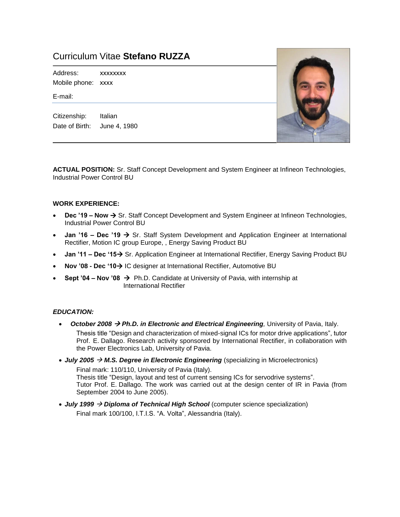# Curriculum Vitae **Stefano RUZZA**

Address: xxxxxxxx Mobile phone: [xxxx](mailto:stefano.ruzza@infineon.com)

E-mail:

Citizenship: Italian Date of Birth: June 4, 1980



**ACTUAL POSITION:** Sr. Staff Concept Development and System Engineer at Infineon Technologies, Industrial Power Control BU

# **WORK EXPERIENCE:**

- **Dec '19 Now → Sr. Staff Concept Development and System Engineer at Infineon Technologies,** Industrial Power Control BU
- **Jan '16 – Dec '19**  Sr. Staff System Development and Application Engineer at International Rectifier, Motion IC group Europe, , Energy Saving Product BU
- **Jan '11 – Dec '15** Sr. Application Engineer at International Rectifier, Energy Saving Product BU
- **Nov '08 - Dec '10** IC designer at International Rectifier, Automotive BU
- **Sept '04 – Nov '08**  Ph.D. Candidate at University of Pavia, with internship at International Rectifier

#### *EDUCATION:*

- *October 2008 Ph.D. in Electronic and Electrical Engineering,* University of Pavia, Italy. Thesis title "Design and characterization of mixed-signal ICs for motor drive applications", tutor Prof. E. Dallago. Research activity sponsored by International Rectifier, in collaboration with the Power Electronics Lab, University of Pavia.
- $\bullet$  *July 2005*  $\rightarrow$  *M.S. Degree in Electronic Engineering* (specializing in Microelectronics)

Final mark: 110/110, University of Pavia (Italy). Thesis title "Design, layout and test of current sensing ICs for servodrive systems". Tutor Prof. E. Dallago. The work was carried out at the design center of IR in Pavia (from September 2004 to June 2005).

 *July 1999 Diploma of Technical High School* (computer science specialization) Final mark 100/100, I.T.I.S. "A. Volta", Alessandria (Italy).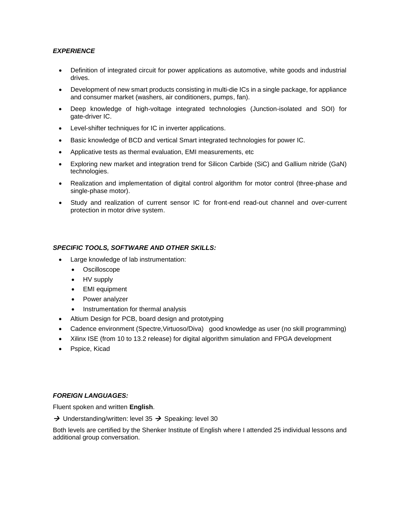# *EXPERIENCE*

- Definition of integrated circuit for power applications as automotive, white goods and industrial drives.
- Development of new smart products consisting in multi-die ICs in a single package, for appliance and consumer market (washers, air conditioners, pumps, fan).
- Deep knowledge of high-voltage integrated technologies (Junction-isolated and SOI) for gate-driver IC.
- Level-shifter techniques for IC in inverter applications.
- Basic knowledge of BCD and vertical Smart integrated technologies for power IC.
- Applicative tests as thermal evaluation, EMI measurements, etc
- Exploring new market and integration trend for Silicon Carbide (SiC) and Gallium nitride (GaN) technologies.
- Realization and implementation of digital control algorithm for motor control (three-phase and single-phase motor).
- Study and realization of current sensor IC for front-end read-out channel and over-current protection in motor drive system.

# *SPECIFIC TOOLS, SOFTWARE AND OTHER SKILLS:*

- Large knowledge of lab instrumentation:
	- Oscilloscope
	- HV supply
	- EMI equipment
	- Power analyzer
	- Instrumentation for thermal analysis
- Altium Design for PCB, board design and prototyping
- Cadence environment (Spectre,Virtuoso/Diva) good knowledge as user (no skill programming)
- Xilinx ISE (from 10 to 13.2 release) for digital algorithm simulation and FPGA development
- Pspice, Kicad

## *FOREIGN LANGUAGES:*

Fluent spoken and written **English**.

 $\rightarrow$  Understanding/written: level 35  $\rightarrow$  Speaking: level 30

Both levels are certified by the Shenker Institute of English where I attended 25 individual lessons and additional group conversation.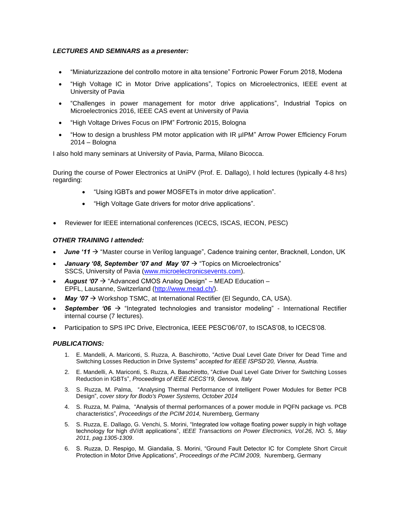# *LECTURES AND SEMINARS as a presenter:*

- "Miniaturizzazione del controllo motore in alta tensione" Fortronic Power Forum 2018, Modena
- "High Voltage IC in Motor Drive applications", Topics on Microelectronics, IEEE event at University of Pavia
- "Challenges in power management for motor drive applications", Industrial Topics on Microelectronics 2016, IEEE CAS event at University of Pavia
- "High Voltage Drives Focus on IPM" Fortronic 2015, Bologna
- "How to design a brushless PM motor application with IR µIPM" Arrow Power Efficiency Forum 2014 – Bologna

I also hold many seminars at University of Pavia, Parma, Milano Bicocca.

During the course of Power Electronics at UniPV (Prof. E. Dallago), I hold lectures (typically 4-8 hrs) regarding:

- "Using IGBTs and power MOSFETs in motor drive application".
- "High Voltage Gate drivers for motor drive applications".
- Reviewer for IEEE international conferences (ICECS, ISCAS, IECON, PESC)

# *OTHER TRAINING I attended:*

- *June '11* → "Master course in Verilog language", Cadence training center, Bracknell, London, UK
- **January '08, September '07 and May '07**  $\rightarrow$  **"Topics on Microelectronics"** SSCS, University of Pavia [\(www.microelectronicsevents.com\)](http://www.microelectronicsevents.com/).
- *August '07*  "Advanced CMOS Analog Design" MEAD Education EPFL, Lausanne, Switzerland [\(http://www.mead.ch/\)](http://www.mead.ch/).
- *May '07 →* Workshop TSMC, at International Rectifier (El Segundo, CA, USA).
- **September '06**  $\rightarrow$  "Integrated technologies and transistor modeling" International Rectifier internal course (7 lectures).
- Participation to SPS IPC Drive, Electronica, IEEE PESC'06/'07, to ISCAS'08, to ICECS'08.

#### *PUBLICATIONS:*

- 1. E. Mandelli, A. Mariconti, S. Ruzza, A. Baschirotto, "Active Dual Level Gate Driver for Dead Time and Switching Losses Reduction in Drive Systems" *accepted for IEEE ISPSD'20, Vienna, Austria.*
- 2. E. Mandelli, A. Mariconti, S. Ruzza, A. Baschirotto, "Active Dual Level Gate Driver for Switching Losses Reduction in IGBTs", *Proceedings of IEEE ICECS'19, Genova, Italy*
- 3. S. Ruzza, M. Palma, "Analysing Thermal Performance of Intelligent Power Modules for Better PCB Design", *cover story for Bodo's Power Systems, October 2014*
- 4. S. Ruzza, M. Palma, "Analysis of thermal performances of a power module in PQFN package vs. PCB characteristics", *Proceedings of the PCIM 2014,* Nuremberg, Germany
- 5. S. Ruzza, E. Dallago, G. Venchi, S. Morini, "Integrated low voltage floating power supply in high voltage technology for high dV/dt applications", *IEEE Transactions on Power Electronics, Vol.26, NO. 5, May 2011, pag.1305-1309*.
- 6. S. Ruzza, D. Respigo, M. Giandalia, S. Morini, "Ground Fault Detector IC for Complete Short Circuit Protection in Motor Drive Applications", *Proceedings of the PCIM 2009,* Nuremberg, Germany